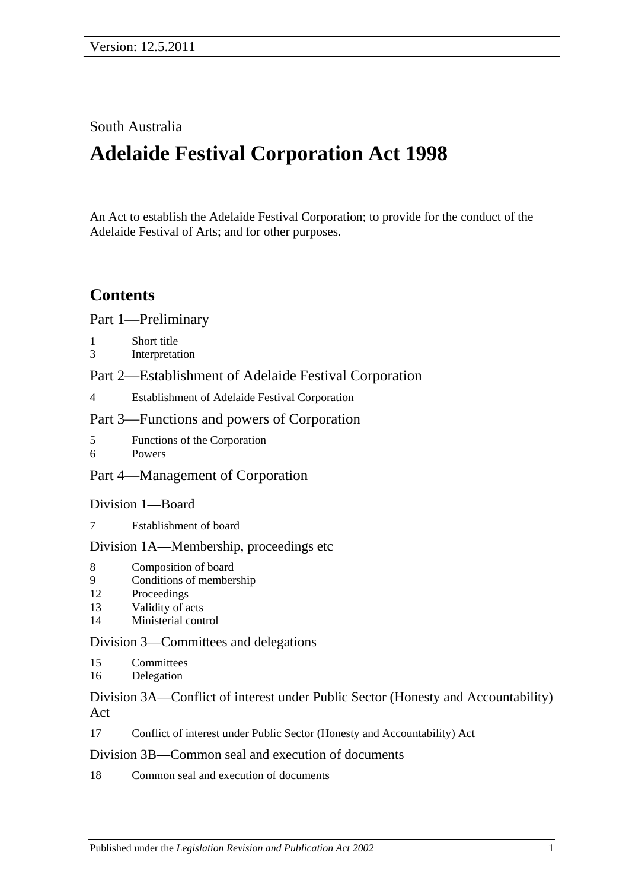# South Australia

# **Adelaide Festival Corporation Act 1998**

An Act to establish the Adelaide Festival Corporation; to provide for the conduct of the Adelaide Festival of Arts; and for other purposes.

# **Contents**

[Part 1—Preliminary](#page-1-0)

- 1 [Short title](#page-1-1)
- 3 [Interpretation](#page-1-2)

# [Part 2—Establishment of Adelaide Festival Corporation](#page-2-0)

4 [Establishment of Adelaide Festival Corporation](#page-2-1)

# [Part 3—Functions and powers of Corporation](#page-2-2)

- 5 [Functions of the Corporation](#page-2-3)
- 6 [Powers](#page-3-0)

# [Part 4—Management of Corporation](#page-4-0)

# [Division 1—Board](#page-4-1)

7 [Establishment of board](#page-4-2)

# [Division 1A—Membership, proceedings etc](#page-4-3)

- 8 [Composition of board](#page-4-4)
- 9 [Conditions of membership](#page-5-0)
- 12 [Proceedings](#page-5-1)
- 13 [Validity of acts](#page-6-0)
- 14 [Ministerial control](#page-6-1)

# [Division 3—Committees and delegations](#page-6-2)

- 15 [Committees](#page-6-3)
- 16 [Delegation](#page-7-0)

# [Division 3A—Conflict of interest under Public Sector \(Honesty and Accountability\)](#page-7-1)  [Act](#page-7-1)

17 [Conflict of interest under Public Sector \(Honesty and Accountability\) Act](#page-7-2)

# [Division 3B—Common seal and execution of documents](#page-8-0)

18 [Common seal and execution of documents](#page-8-1)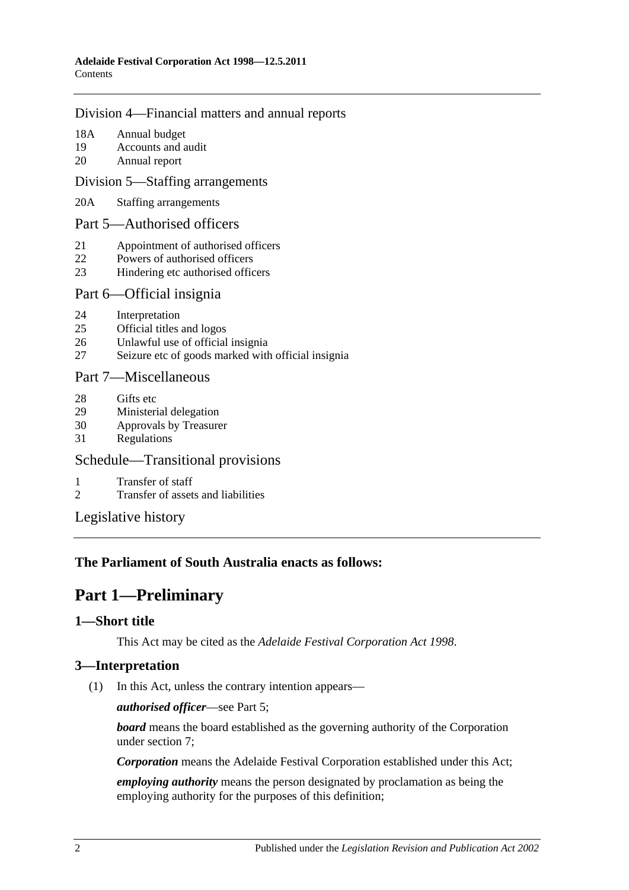#### [Division 4—Financial matters and annual reports](#page-8-2)

- 18A [Annual budget](#page-8-3)
- 19 [Accounts and audit](#page-8-4)
- 20 [Annual report](#page-9-0)

#### [Division 5—Staffing arrangements](#page-9-1)

20A [Staffing arrangements](#page-9-2)

#### [Part 5—Authorised officers](#page-10-0)

- 21 [Appointment of authorised officers](#page-10-1)
- 22 [Powers of authorised officers](#page-11-0)
- 23 [Hindering etc authorised officers](#page-11-1)

#### [Part 6—Official insignia](#page-12-0)

- 24 [Interpretation](#page-12-1)
- 25 [Official titles and logos](#page-12-2)
- 26 [Unlawful use of official insignia](#page-13-0)
- 27 [Seizure etc of goods marked with official insignia](#page-14-0)

#### [Part 7—Miscellaneous](#page-14-1)

- 28 [Gifts etc](#page-14-2)
- 29 [Ministerial delegation](#page-14-3)<br>30 Approvals by Treasure
- [Approvals by Treasurer](#page-15-0)
- 31 [Regulations](#page-15-1)

# [Schedule—Transitional provisions](#page-16-0)

- 1 [Transfer of staff](#page-16-1)
- 2 [Transfer of assets and liabilities](#page-17-0)

[Legislative history](#page-18-0)

# <span id="page-1-0"></span>**The Parliament of South Australia enacts as follows:**

# **Part 1—Preliminary**

# <span id="page-1-1"></span>**1—Short title**

This Act may be cited as the *Adelaide Festival Corporation Act 1998*.

# <span id="page-1-2"></span>**3—Interpretation**

(1) In this Act, unless the contrary intention appears—

*authorised officer*—see [Part 5;](#page-10-0)

*board* means the board established as the governing authority of the Corporation under [section](#page-4-2) 7;

*Corporation* means the Adelaide Festival Corporation established under this Act;

*employing authority* means the person designated by proclamation as being the employing authority for the purposes of this definition;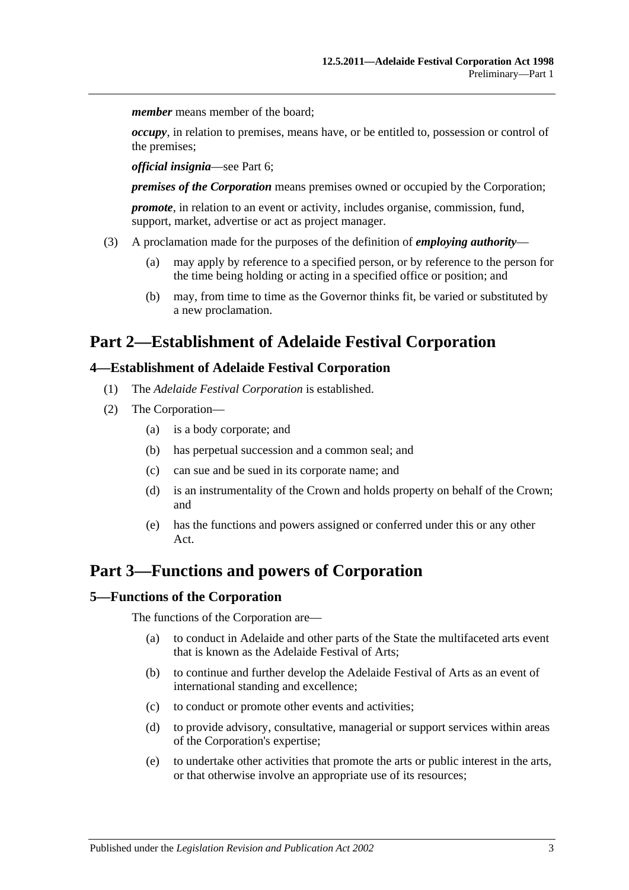*member* means member of the board:

*occupy*, in relation to premises, means have, or be entitled to, possession or control of the premises;

*official insignia*—see [Part 6;](#page-12-0)

*premises of the Corporation* means premises owned or occupied by the Corporation;

*promote*, in relation to an event or activity, includes organise, commission, fund, support, market, advertise or act as project manager.

- (3) A proclamation made for the purposes of the definition of *employing authority*
	- (a) may apply by reference to a specified person, or by reference to the person for the time being holding or acting in a specified office or position; and
	- (b) may, from time to time as the Governor thinks fit, be varied or substituted by a new proclamation.

# <span id="page-2-0"></span>**Part 2—Establishment of Adelaide Festival Corporation**

#### <span id="page-2-1"></span>**4—Establishment of Adelaide Festival Corporation**

- (1) The *Adelaide Festival Corporation* is established.
- (2) The Corporation—
	- (a) is a body corporate; and
	- (b) has perpetual succession and a common seal; and
	- (c) can sue and be sued in its corporate name; and
	- (d) is an instrumentality of the Crown and holds property on behalf of the Crown; and
	- (e) has the functions and powers assigned or conferred under this or any other Act.

# <span id="page-2-2"></span>**Part 3—Functions and powers of Corporation**

#### <span id="page-2-3"></span>**5—Functions of the Corporation**

The functions of the Corporation are—

- (a) to conduct in Adelaide and other parts of the State the multifaceted arts event that is known as the Adelaide Festival of Arts;
- (b) to continue and further develop the Adelaide Festival of Arts as an event of international standing and excellence;
- (c) to conduct or promote other events and activities;
- (d) to provide advisory, consultative, managerial or support services within areas of the Corporation's expertise;
- (e) to undertake other activities that promote the arts or public interest in the arts, or that otherwise involve an appropriate use of its resources;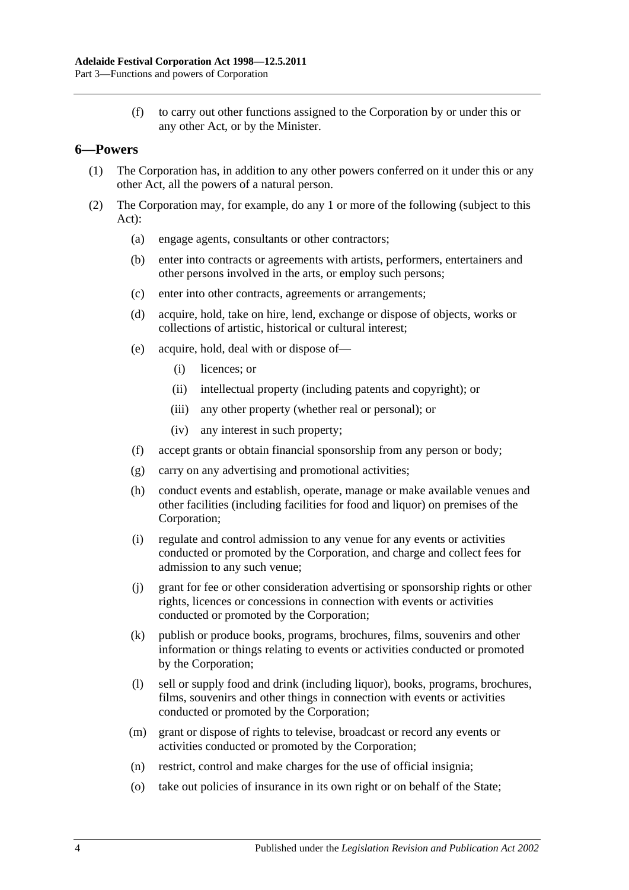(f) to carry out other functions assigned to the Corporation by or under this or any other Act, or by the Minister.

# <span id="page-3-0"></span>**6—Powers**

- (1) The Corporation has, in addition to any other powers conferred on it under this or any other Act, all the powers of a natural person.
- (2) The Corporation may, for example, do any 1 or more of the following (subject to this Act):
	- (a) engage agents, consultants or other contractors;
	- (b) enter into contracts or agreements with artists, performers, entertainers and other persons involved in the arts, or employ such persons;
	- (c) enter into other contracts, agreements or arrangements;
	- (d) acquire, hold, take on hire, lend, exchange or dispose of objects, works or collections of artistic, historical or cultural interest;
	- (e) acquire, hold, deal with or dispose of—
		- (i) licences; or
		- (ii) intellectual property (including patents and copyright); or
		- (iii) any other property (whether real or personal); or
		- (iv) any interest in such property;
	- (f) accept grants or obtain financial sponsorship from any person or body;
	- (g) carry on any advertising and promotional activities;
	- (h) conduct events and establish, operate, manage or make available venues and other facilities (including facilities for food and liquor) on premises of the Corporation;
	- (i) regulate and control admission to any venue for any events or activities conducted or promoted by the Corporation, and charge and collect fees for admission to any such venue;
	- (j) grant for fee or other consideration advertising or sponsorship rights or other rights, licences or concessions in connection with events or activities conducted or promoted by the Corporation;
	- (k) publish or produce books, programs, brochures, films, souvenirs and other information or things relating to events or activities conducted or promoted by the Corporation;
	- (l) sell or supply food and drink (including liquor), books, programs, brochures, films, souvenirs and other things in connection with events or activities conducted or promoted by the Corporation;
	- (m) grant or dispose of rights to televise, broadcast or record any events or activities conducted or promoted by the Corporation;
	- (n) restrict, control and make charges for the use of official insignia;
	- (o) take out policies of insurance in its own right or on behalf of the State;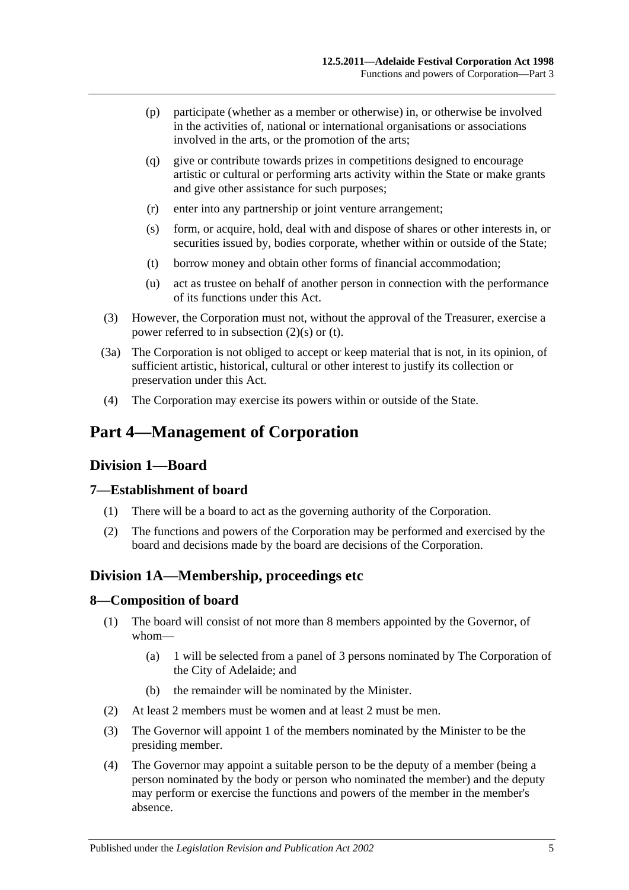- (p) participate (whether as a member or otherwise) in, or otherwise be involved in the activities of, national or international organisations or associations involved in the arts, or the promotion of the arts;
- (q) give or contribute towards prizes in competitions designed to encourage artistic or cultural or performing arts activity within the State or make grants and give other assistance for such purposes;
- (r) enter into any partnership or joint venture arrangement;
- <span id="page-4-5"></span>(s) form, or acquire, hold, deal with and dispose of shares or other interests in, or securities issued by, bodies corporate, whether within or outside of the State;
- <span id="page-4-6"></span>(t) borrow money and obtain other forms of financial accommodation;
- (u) act as trustee on behalf of another person in connection with the performance of its functions under this Act.
- (3) However, the Corporation must not, without the approval of the Treasurer, exercise a power referred to in [subsection](#page-4-5) (2)(s) or [\(t\).](#page-4-6)
- (3a) The Corporation is not obliged to accept or keep material that is not, in its opinion, of sufficient artistic, historical, cultural or other interest to justify its collection or preservation under this Act.
- (4) The Corporation may exercise its powers within or outside of the State.

# <span id="page-4-0"></span>**Part 4—Management of Corporation**

# <span id="page-4-1"></span>**Division 1—Board**

#### <span id="page-4-2"></span>**7—Establishment of board**

- (1) There will be a board to act as the governing authority of the Corporation.
- (2) The functions and powers of the Corporation may be performed and exercised by the board and decisions made by the board are decisions of the Corporation.

# <span id="page-4-3"></span>**Division 1A—Membership, proceedings etc**

#### <span id="page-4-4"></span>**8—Composition of board**

- (1) The board will consist of not more than 8 members appointed by the Governor, of whom—
	- (a) 1 will be selected from a panel of 3 persons nominated by The Corporation of the City of Adelaide; and
	- (b) the remainder will be nominated by the Minister.
- (2) At least 2 members must be women and at least 2 must be men.
- (3) The Governor will appoint 1 of the members nominated by the Minister to be the presiding member.
- (4) The Governor may appoint a suitable person to be the deputy of a member (being a person nominated by the body or person who nominated the member) and the deputy may perform or exercise the functions and powers of the member in the member's absence.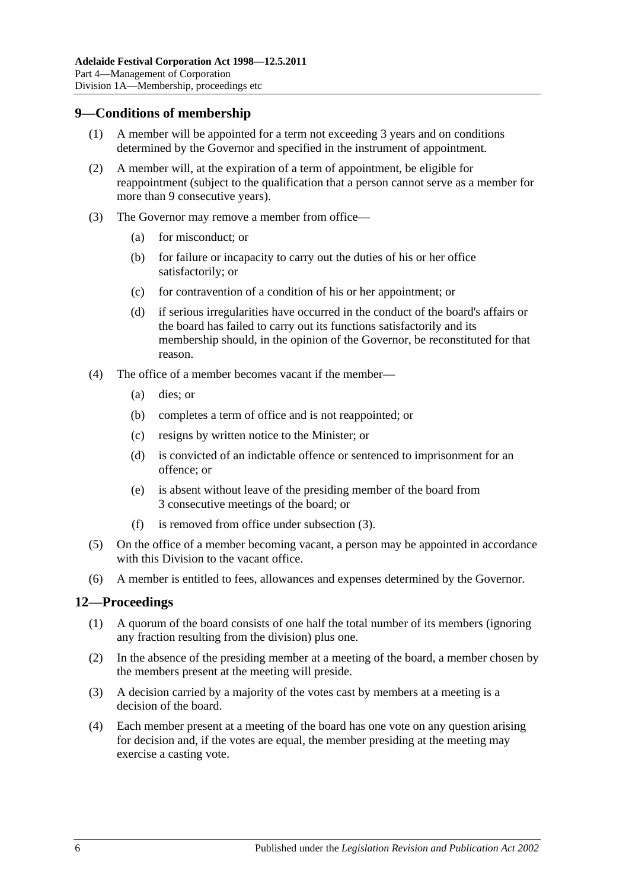### <span id="page-5-0"></span>**9—Conditions of membership**

- (1) A member will be appointed for a term not exceeding 3 years and on conditions determined by the Governor and specified in the instrument of appointment.
- (2) A member will, at the expiration of a term of appointment, be eligible for reappointment (subject to the qualification that a person cannot serve as a member for more than 9 consecutive years).
- <span id="page-5-2"></span>(3) The Governor may remove a member from office—
	- (a) for misconduct; or
	- (b) for failure or incapacity to carry out the duties of his or her office satisfactorily; or
	- (c) for contravention of a condition of his or her appointment; or
	- (d) if serious irregularities have occurred in the conduct of the board's affairs or the board has failed to carry out its functions satisfactorily and its membership should, in the opinion of the Governor, be reconstituted for that reason.
- (4) The office of a member becomes vacant if the member—
	- (a) dies; or
	- (b) completes a term of office and is not reappointed; or
	- (c) resigns by written notice to the Minister; or
	- (d) is convicted of an indictable offence or sentenced to imprisonment for an offence; or
	- (e) is absent without leave of the presiding member of the board from 3 consecutive meetings of the board; or
	- (f) is removed from office under [subsection](#page-5-2) (3).
- (5) On the office of a member becoming vacant, a person may be appointed in accordance with this Division to the vacant office.
- (6) A member is entitled to fees, allowances and expenses determined by the Governor.

# <span id="page-5-1"></span>**12—Proceedings**

- (1) A quorum of the board consists of one half the total number of its members (ignoring any fraction resulting from the division) plus one.
- (2) In the absence of the presiding member at a meeting of the board, a member chosen by the members present at the meeting will preside.
- (3) A decision carried by a majority of the votes cast by members at a meeting is a decision of the board.
- (4) Each member present at a meeting of the board has one vote on any question arising for decision and, if the votes are equal, the member presiding at the meeting may exercise a casting vote.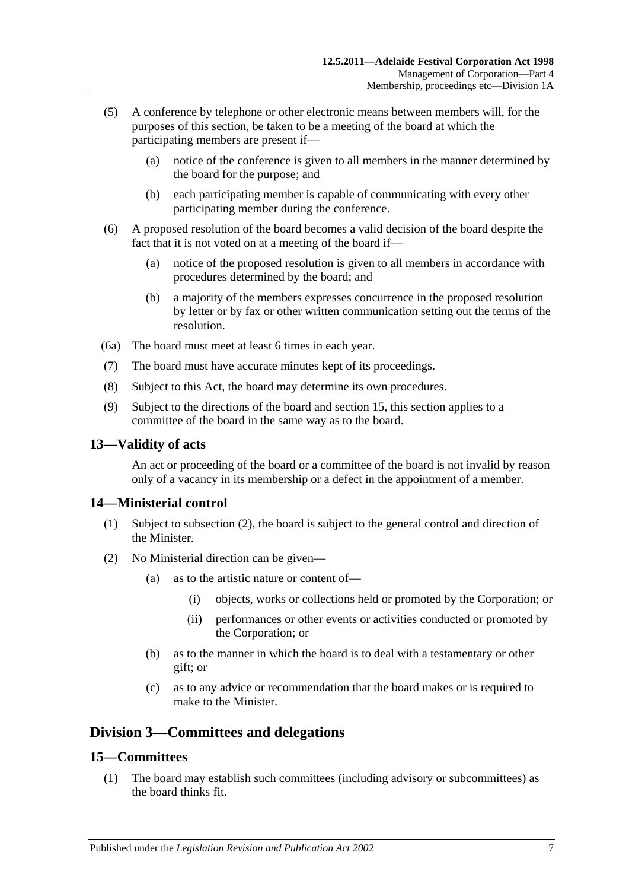- (5) A conference by telephone or other electronic means between members will, for the purposes of this section, be taken to be a meeting of the board at which the participating members are present if—
	- (a) notice of the conference is given to all members in the manner determined by the board for the purpose; and
	- (b) each participating member is capable of communicating with every other participating member during the conference.
- (6) A proposed resolution of the board becomes a valid decision of the board despite the fact that it is not voted on at a meeting of the board if—
	- (a) notice of the proposed resolution is given to all members in accordance with procedures determined by the board; and
	- (b) a majority of the members expresses concurrence in the proposed resolution by letter or by fax or other written communication setting out the terms of the resolution.
- (6a) The board must meet at least 6 times in each year.
- (7) The board must have accurate minutes kept of its proceedings.
- (8) Subject to this Act, the board may determine its own procedures.
- (9) Subject to the directions of the board and [section](#page-6-3) 15, this section applies to a committee of the board in the same way as to the board.

#### <span id="page-6-0"></span>**13—Validity of acts**

An act or proceeding of the board or a committee of the board is not invalid by reason only of a vacancy in its membership or a defect in the appointment of a member.

# <span id="page-6-1"></span>**14—Ministerial control**

- (1) Subject to [subsection](#page-6-4) (2), the board is subject to the general control and direction of the Minister.
- <span id="page-6-4"></span>(2) No Ministerial direction can be given—
	- (a) as to the artistic nature or content of—
		- (i) objects, works or collections held or promoted by the Corporation; or
		- (ii) performances or other events or activities conducted or promoted by the Corporation; or
	- (b) as to the manner in which the board is to deal with a testamentary or other gift; or
	- (c) as to any advice or recommendation that the board makes or is required to make to the Minister.

# <span id="page-6-2"></span>**Division 3—Committees and delegations**

#### <span id="page-6-3"></span>**15—Committees**

(1) The board may establish such committees (including advisory or subcommittees) as the board thinks fit.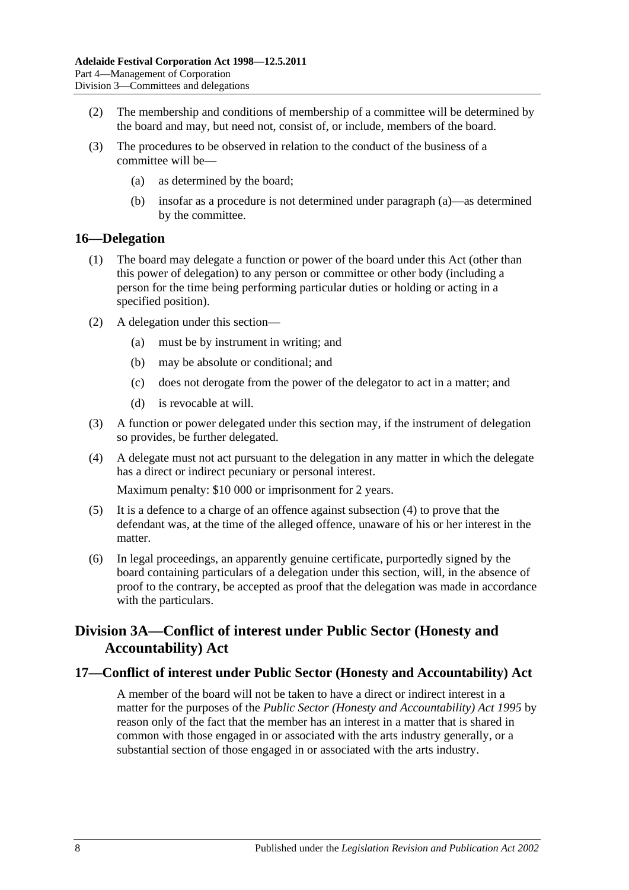- (2) The membership and conditions of membership of a committee will be determined by the board and may, but need not, consist of, or include, members of the board.
- <span id="page-7-3"></span>(3) The procedures to be observed in relation to the conduct of the business of a committee will be—
	- (a) as determined by the board;
	- (b) insofar as a procedure is not determined under [paragraph](#page-7-3) (a)—as determined by the committee.

# <span id="page-7-0"></span>**16—Delegation**

- (1) The board may delegate a function or power of the board under this Act (other than this power of delegation) to any person or committee or other body (including a person for the time being performing particular duties or holding or acting in a specified position).
- (2) A delegation under this section—
	- (a) must be by instrument in writing; and
	- (b) may be absolute or conditional; and
	- (c) does not derogate from the power of the delegator to act in a matter; and
	- (d) is revocable at will.
- (3) A function or power delegated under this section may, if the instrument of delegation so provides, be further delegated.
- <span id="page-7-4"></span>(4) A delegate must not act pursuant to the delegation in any matter in which the delegate has a direct or indirect pecuniary or personal interest.

Maximum penalty: \$10 000 or imprisonment for 2 years.

- (5) It is a defence to a charge of an offence against [subsection](#page-7-4) (4) to prove that the defendant was, at the time of the alleged offence, unaware of his or her interest in the matter.
- (6) In legal proceedings, an apparently genuine certificate, purportedly signed by the board containing particulars of a delegation under this section, will, in the absence of proof to the contrary, be accepted as proof that the delegation was made in accordance with the particulars.

# <span id="page-7-1"></span>**Division 3A—Conflict of interest under Public Sector (Honesty and Accountability) Act**

# <span id="page-7-2"></span>**17—Conflict of interest under Public Sector (Honesty and Accountability) Act**

A member of the board will not be taken to have a direct or indirect interest in a matter for the purposes of the *[Public Sector \(Honesty and Accountability\) Act](http://www.legislation.sa.gov.au/index.aspx?action=legref&type=act&legtitle=Public%20Sector%20(Honesty%20and%20Accountability)%20Act%201995) 1995* by reason only of the fact that the member has an interest in a matter that is shared in common with those engaged in or associated with the arts industry generally, or a substantial section of those engaged in or associated with the arts industry.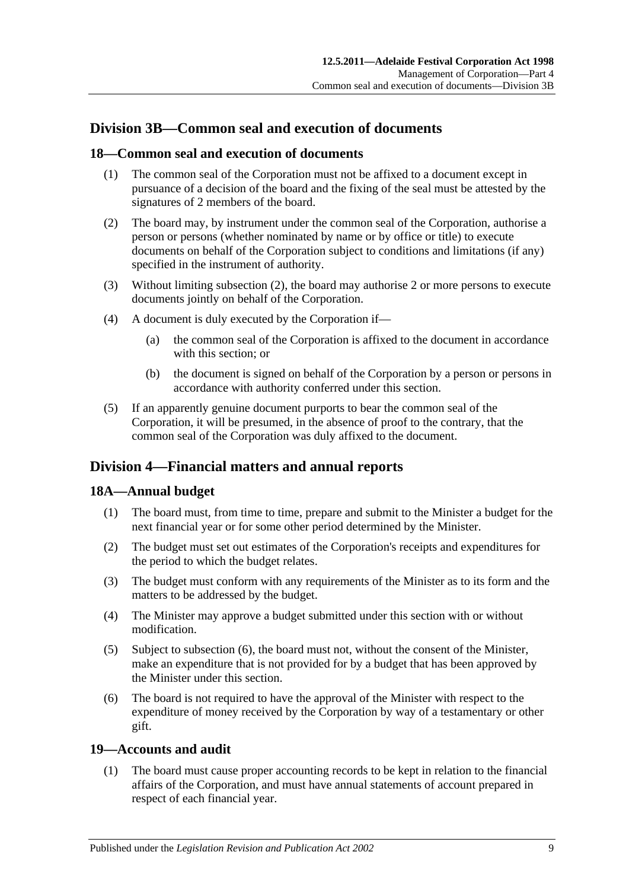# <span id="page-8-0"></span>**Division 3B—Common seal and execution of documents**

#### <span id="page-8-1"></span>**18—Common seal and execution of documents**

- (1) The common seal of the Corporation must not be affixed to a document except in pursuance of a decision of the board and the fixing of the seal must be attested by the signatures of 2 members of the board.
- <span id="page-8-5"></span>(2) The board may, by instrument under the common seal of the Corporation, authorise a person or persons (whether nominated by name or by office or title) to execute documents on behalf of the Corporation subject to conditions and limitations (if any) specified in the instrument of authority.
- (3) Without limiting [subsection](#page-8-5) (2), the board may authorise 2 or more persons to execute documents jointly on behalf of the Corporation.
- (4) A document is duly executed by the Corporation if—
	- (a) the common seal of the Corporation is affixed to the document in accordance with this section; or
	- (b) the document is signed on behalf of the Corporation by a person or persons in accordance with authority conferred under this section.
- (5) If an apparently genuine document purports to bear the common seal of the Corporation, it will be presumed, in the absence of proof to the contrary, that the common seal of the Corporation was duly affixed to the document.

# <span id="page-8-2"></span>**Division 4—Financial matters and annual reports**

# <span id="page-8-3"></span>**18A—Annual budget**

- (1) The board must, from time to time, prepare and submit to the Minister a budget for the next financial year or for some other period determined by the Minister.
- (2) The budget must set out estimates of the Corporation's receipts and expenditures for the period to which the budget relates.
- (3) The budget must conform with any requirements of the Minister as to its form and the matters to be addressed by the budget.
- (4) The Minister may approve a budget submitted under this section with or without modification.
- (5) Subject to [subsection](#page-8-6) (6), the board must not, without the consent of the Minister, make an expenditure that is not provided for by a budget that has been approved by the Minister under this section.
- <span id="page-8-6"></span>(6) The board is not required to have the approval of the Minister with respect to the expenditure of money received by the Corporation by way of a testamentary or other gift.

#### <span id="page-8-4"></span>**19—Accounts and audit**

(1) The board must cause proper accounting records to be kept in relation to the financial affairs of the Corporation, and must have annual statements of account prepared in respect of each financial year.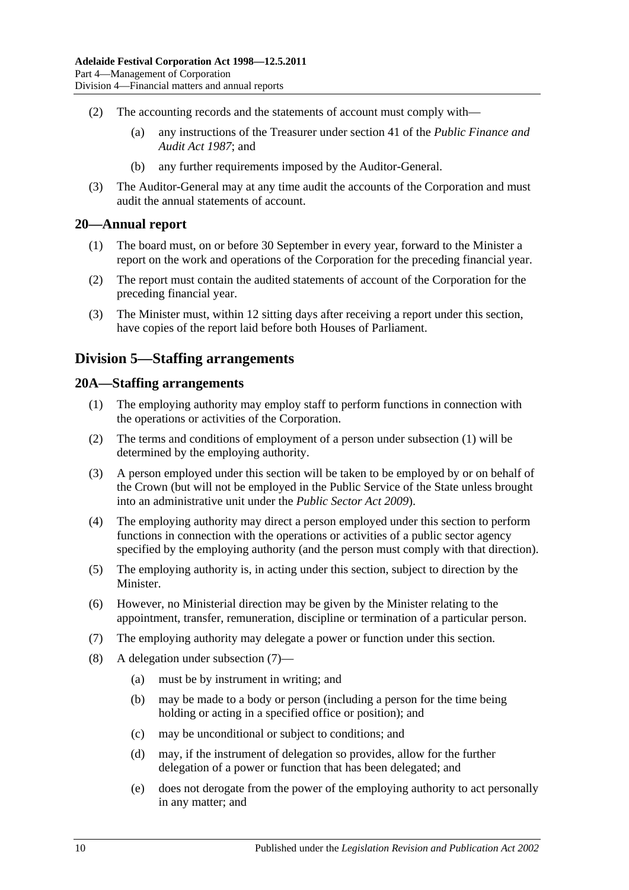- (2) The accounting records and the statements of account must comply with—
	- (a) any instructions of the Treasurer under section 41 of the *[Public Finance and](http://www.legislation.sa.gov.au/index.aspx?action=legref&type=act&legtitle=Public%20Finance%20and%20Audit%20Act%201987)  [Audit Act](http://www.legislation.sa.gov.au/index.aspx?action=legref&type=act&legtitle=Public%20Finance%20and%20Audit%20Act%201987) 1987*; and
	- (b) any further requirements imposed by the Auditor-General.
- (3) The Auditor-General may at any time audit the accounts of the Corporation and must audit the annual statements of account.

#### <span id="page-9-0"></span>**20—Annual report**

- (1) The board must, on or before 30 September in every year, forward to the Minister a report on the work and operations of the Corporation for the preceding financial year.
- (2) The report must contain the audited statements of account of the Corporation for the preceding financial year.
- (3) The Minister must, within 12 sitting days after receiving a report under this section, have copies of the report laid before both Houses of Parliament.

# <span id="page-9-1"></span>**Division 5—Staffing arrangements**

#### <span id="page-9-3"></span><span id="page-9-2"></span>**20A—Staffing arrangements**

- (1) The employing authority may employ staff to perform functions in connection with the operations or activities of the Corporation.
- (2) The terms and conditions of employment of a person under [subsection](#page-9-3) (1) will be determined by the employing authority.
- (3) A person employed under this section will be taken to be employed by or on behalf of the Crown (but will not be employed in the Public Service of the State unless brought into an administrative unit under the *[Public Sector Act](http://www.legislation.sa.gov.au/index.aspx?action=legref&type=act&legtitle=Public%20Sector%20Act%202009) 2009*).
- (4) The employing authority may direct a person employed under this section to perform functions in connection with the operations or activities of a public sector agency specified by the employing authority (and the person must comply with that direction).
- (5) The employing authority is, in acting under this section, subject to direction by the Minister.
- (6) However, no Ministerial direction may be given by the Minister relating to the appointment, transfer, remuneration, discipline or termination of a particular person.
- <span id="page-9-4"></span>(7) The employing authority may delegate a power or function under this section.
- (8) A delegation under [subsection](#page-9-4) (7)—
	- (a) must be by instrument in writing; and
	- (b) may be made to a body or person (including a person for the time being holding or acting in a specified office or position); and
	- (c) may be unconditional or subject to conditions; and
	- (d) may, if the instrument of delegation so provides, allow for the further delegation of a power or function that has been delegated; and
	- (e) does not derogate from the power of the employing authority to act personally in any matter; and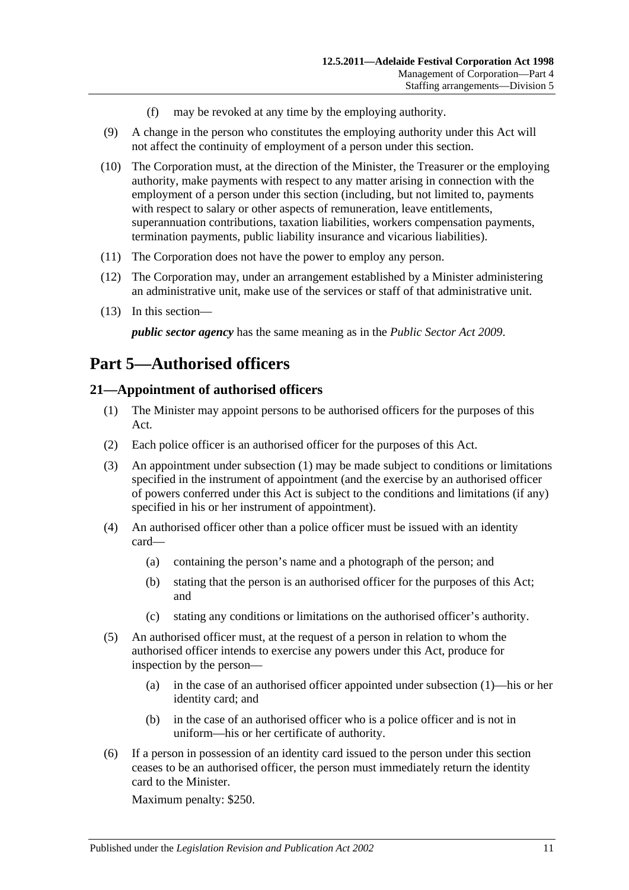- (f) may be revoked at any time by the employing authority.
- (9) A change in the person who constitutes the employing authority under this Act will not affect the continuity of employment of a person under this section.
- (10) The Corporation must, at the direction of the Minister, the Treasurer or the employing authority, make payments with respect to any matter arising in connection with the employment of a person under this section (including, but not limited to, payments with respect to salary or other aspects of remuneration, leave entitlements, superannuation contributions, taxation liabilities, workers compensation payments, termination payments, public liability insurance and vicarious liabilities).
- (11) The Corporation does not have the power to employ any person.
- (12) The Corporation may, under an arrangement established by a Minister administering an administrative unit, make use of the services or staff of that administrative unit.
- (13) In this section—

*public sector agency* has the same meaning as in the *[Public Sector Act](http://www.legislation.sa.gov.au/index.aspx?action=legref&type=act&legtitle=Public%20Sector%20Act%202009) 2009*.

# <span id="page-10-0"></span>**Part 5—Authorised officers**

# <span id="page-10-2"></span><span id="page-10-1"></span>**21—Appointment of authorised officers**

- (1) The Minister may appoint persons to be authorised officers for the purposes of this Act.
- (2) Each police officer is an authorised officer for the purposes of this Act.
- (3) An appointment under [subsection](#page-10-2) (1) may be made subject to conditions or limitations specified in the instrument of appointment (and the exercise by an authorised officer of powers conferred under this Act is subject to the conditions and limitations (if any) specified in his or her instrument of appointment).
- (4) An authorised officer other than a police officer must be issued with an identity card—
	- (a) containing the person's name and a photograph of the person; and
	- (b) stating that the person is an authorised officer for the purposes of this Act; and
	- (c) stating any conditions or limitations on the authorised officer's authority.
- (5) An authorised officer must, at the request of a person in relation to whom the authorised officer intends to exercise any powers under this Act, produce for inspection by the person—
	- (a) in the case of an authorised officer appointed under [subsection](#page-10-2) (1)—his or her identity card; and
	- (b) in the case of an authorised officer who is a police officer and is not in uniform—his or her certificate of authority.
- (6) If a person in possession of an identity card issued to the person under this section ceases to be an authorised officer, the person must immediately return the identity card to the Minister.

Maximum penalty: \$250.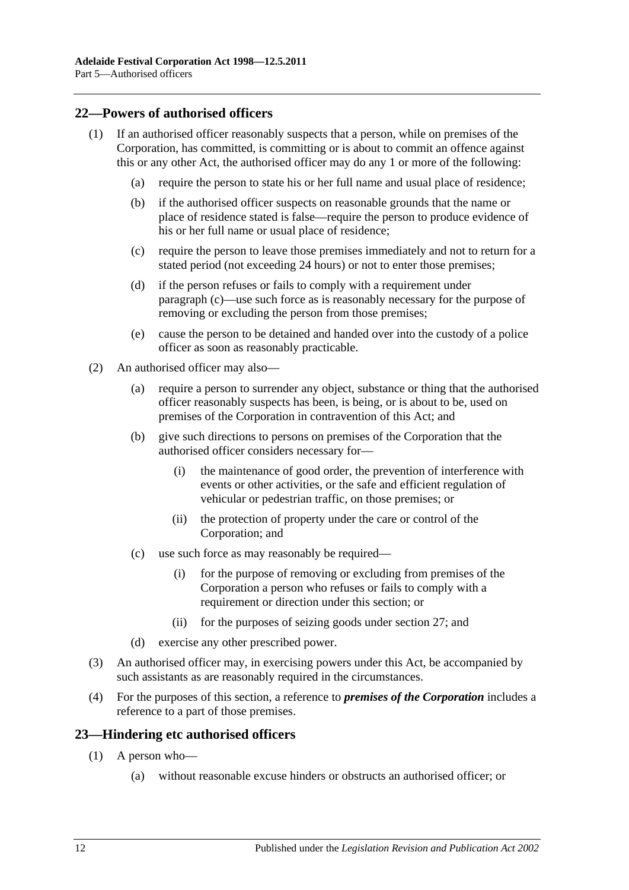# <span id="page-11-0"></span>**22—Powers of authorised officers**

- <span id="page-11-2"></span>(1) If an authorised officer reasonably suspects that a person, while on premises of the Corporation, has committed, is committing or is about to commit an offence against this or any other Act, the authorised officer may do any 1 or more of the following:
	- (a) require the person to state his or her full name and usual place of residence;
	- (b) if the authorised officer suspects on reasonable grounds that the name or place of residence stated is false—require the person to produce evidence of his or her full name or usual place of residence:
	- (c) require the person to leave those premises immediately and not to return for a stated period (not exceeding 24 hours) or not to enter those premises;
	- (d) if the person refuses or fails to comply with a requirement under [paragraph](#page-11-2) (c)—use such force as is reasonably necessary for the purpose of removing or excluding the person from those premises;
	- (e) cause the person to be detained and handed over into the custody of a police officer as soon as reasonably practicable.
- (2) An authorised officer may also—
	- (a) require a person to surrender any object, substance or thing that the authorised officer reasonably suspects has been, is being, or is about to be, used on premises of the Corporation in contravention of this Act; and
	- (b) give such directions to persons on premises of the Corporation that the authorised officer considers necessary for—
		- (i) the maintenance of good order, the prevention of interference with events or other activities, or the safe and efficient regulation of vehicular or pedestrian traffic, on those premises; or
		- (ii) the protection of property under the care or control of the Corporation; and
	- (c) use such force as may reasonably be required—
		- (i) for the purpose of removing or excluding from premises of the Corporation a person who refuses or fails to comply with a requirement or direction under this section; or
		- (ii) for the purposes of seizing goods under [section](#page-14-0) 27; and
	- (d) exercise any other prescribed power.
- (3) An authorised officer may, in exercising powers under this Act, be accompanied by such assistants as are reasonably required in the circumstances.
- (4) For the purposes of this section, a reference to *premises of the Corporation* includes a reference to a part of those premises.

#### <span id="page-11-1"></span>**23—Hindering etc authorised officers**

- (1) A person who—
	- (a) without reasonable excuse hinders or obstructs an authorised officer; or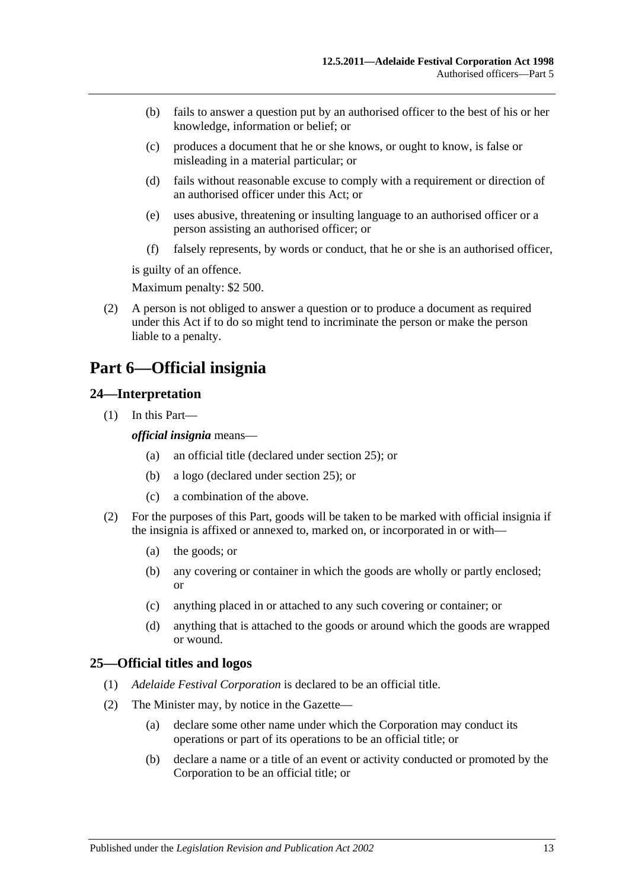- (b) fails to answer a question put by an authorised officer to the best of his or her knowledge, information or belief; or
- (c) produces a document that he or she knows, or ought to know, is false or misleading in a material particular; or
- (d) fails without reasonable excuse to comply with a requirement or direction of an authorised officer under this Act; or
- (e) uses abusive, threatening or insulting language to an authorised officer or a person assisting an authorised officer; or
- (f) falsely represents, by words or conduct, that he or she is an authorised officer,

is guilty of an offence.

Maximum penalty: \$2 500.

(2) A person is not obliged to answer a question or to produce a document as required under this Act if to do so might tend to incriminate the person or make the person liable to a penalty.

# <span id="page-12-0"></span>**Part 6—Official insignia**

# <span id="page-12-1"></span>**24—Interpretation**

(1) In this Part—

*official insignia* means—

- (a) an official title (declared under [section](#page-12-2) 25); or
- (b) a logo (declared under [section](#page-12-2) 25); or
- (c) a combination of the above.
- (2) For the purposes of this Part, goods will be taken to be marked with official insignia if the insignia is affixed or annexed to, marked on, or incorporated in or with—
	- (a) the goods; or
	- (b) any covering or container in which the goods are wholly or partly enclosed; or
	- (c) anything placed in or attached to any such covering or container; or
	- (d) anything that is attached to the goods or around which the goods are wrapped or wound.

# <span id="page-12-2"></span>**25—Official titles and logos**

- (1) *Adelaide Festival Corporation* is declared to be an official title.
- <span id="page-12-3"></span>(2) The Minister may, by notice in the Gazette—
	- (a) declare some other name under which the Corporation may conduct its operations or part of its operations to be an official title; or
	- (b) declare a name or a title of an event or activity conducted or promoted by the Corporation to be an official title; or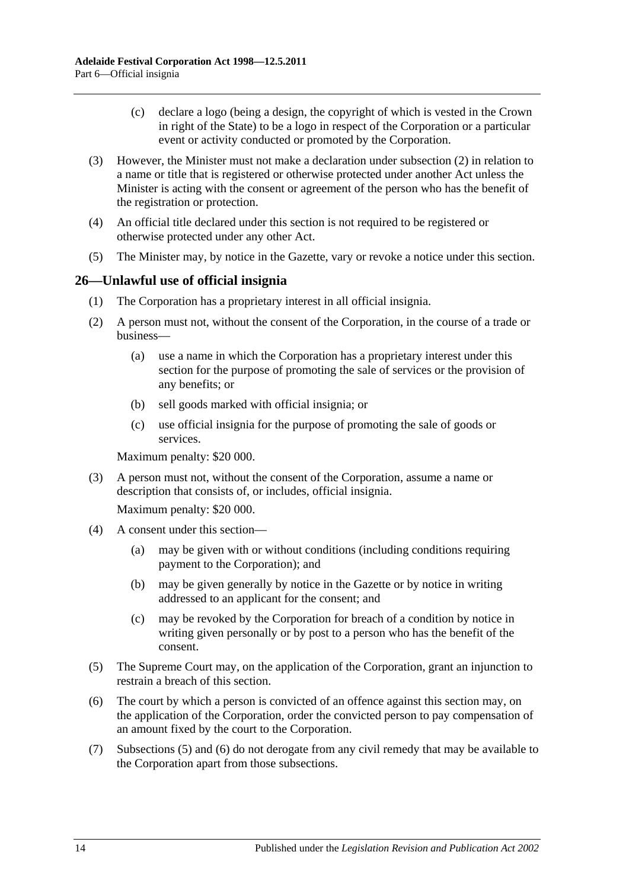- (c) declare a logo (being a design, the copyright of which is vested in the Crown in right of the State) to be a logo in respect of the Corporation or a particular event or activity conducted or promoted by the Corporation.
- (3) However, the Minister must not make a declaration under [subsection](#page-12-3) (2) in relation to a name or title that is registered or otherwise protected under another Act unless the Minister is acting with the consent or agreement of the person who has the benefit of the registration or protection.
- (4) An official title declared under this section is not required to be registered or otherwise protected under any other Act.
- (5) The Minister may, by notice in the Gazette, vary or revoke a notice under this section.

# <span id="page-13-0"></span>**26—Unlawful use of official insignia**

- (1) The Corporation has a proprietary interest in all official insignia.
- <span id="page-13-3"></span>(2) A person must not, without the consent of the Corporation, in the course of a trade or business—
	- (a) use a name in which the Corporation has a proprietary interest under this section for the purpose of promoting the sale of services or the provision of any benefits; or
	- (b) sell goods marked with official insignia; or
	- (c) use official insignia for the purpose of promoting the sale of goods or services.

Maximum penalty: \$20 000.

(3) A person must not, without the consent of the Corporation, assume a name or description that consists of, or includes, official insignia.

Maximum penalty: \$20 000.

- (4) A consent under this section—
	- (a) may be given with or without conditions (including conditions requiring payment to the Corporation); and
	- (b) may be given generally by notice in the Gazette or by notice in writing addressed to an applicant for the consent; and
	- (c) may be revoked by the Corporation for breach of a condition by notice in writing given personally or by post to a person who has the benefit of the consent.
- <span id="page-13-1"></span>(5) The Supreme Court may, on the application of the Corporation, grant an injunction to restrain a breach of this section.
- <span id="page-13-2"></span>(6) The court by which a person is convicted of an offence against this section may, on the application of the Corporation, order the convicted person to pay compensation of an amount fixed by the court to the Corporation.
- (7) [Subsections](#page-13-1) (5) and [\(6\)](#page-13-2) do not derogate from any civil remedy that may be available to the Corporation apart from those subsections.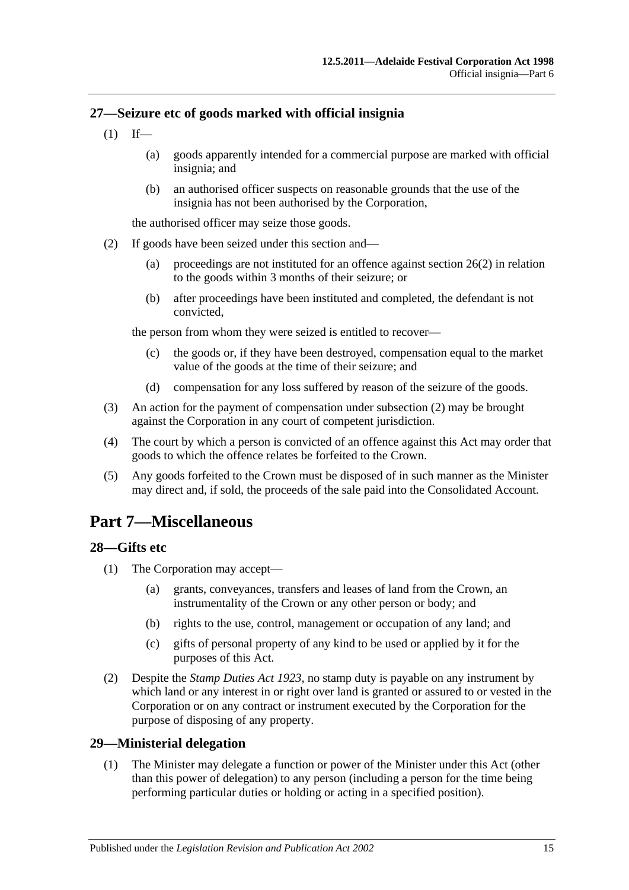# <span id="page-14-0"></span>**27—Seizure etc of goods marked with official insignia**

- $(1)$  If—
	- (a) goods apparently intended for a commercial purpose are marked with official insignia; and
	- (b) an authorised officer suspects on reasonable grounds that the use of the insignia has not been authorised by the Corporation,

the authorised officer may seize those goods.

- <span id="page-14-4"></span>(2) If goods have been seized under this section and—
	- (a) proceedings are not instituted for an offence against [section](#page-13-3) 26(2) in relation to the goods within 3 months of their seizure; or
	- (b) after proceedings have been instituted and completed, the defendant is not convicted,

the person from whom they were seized is entitled to recover—

- (c) the goods or, if they have been destroyed, compensation equal to the market value of the goods at the time of their seizure; and
- (d) compensation for any loss suffered by reason of the seizure of the goods.
- (3) An action for the payment of compensation under [subsection](#page-14-4) (2) may be brought against the Corporation in any court of competent jurisdiction.
- (4) The court by which a person is convicted of an offence against this Act may order that goods to which the offence relates be forfeited to the Crown.
- (5) Any goods forfeited to the Crown must be disposed of in such manner as the Minister may direct and, if sold, the proceeds of the sale paid into the Consolidated Account.

# <span id="page-14-1"></span>**Part 7—Miscellaneous**

# <span id="page-14-2"></span>**28—Gifts etc**

- (1) The Corporation may accept—
	- (a) grants, conveyances, transfers and leases of land from the Crown, an instrumentality of the Crown or any other person or body; and
	- (b) rights to the use, control, management or occupation of any land; and
	- (c) gifts of personal property of any kind to be used or applied by it for the purposes of this Act.
- (2) Despite the *[Stamp Duties Act](http://www.legislation.sa.gov.au/index.aspx?action=legref&type=act&legtitle=Stamp%20Duties%20Act%201923) 1923*, no stamp duty is payable on any instrument by which land or any interest in or right over land is granted or assured to or vested in the Corporation or on any contract or instrument executed by the Corporation for the purpose of disposing of any property.

# <span id="page-14-3"></span>**29—Ministerial delegation**

(1) The Minister may delegate a function or power of the Minister under this Act (other than this power of delegation) to any person (including a person for the time being performing particular duties or holding or acting in a specified position).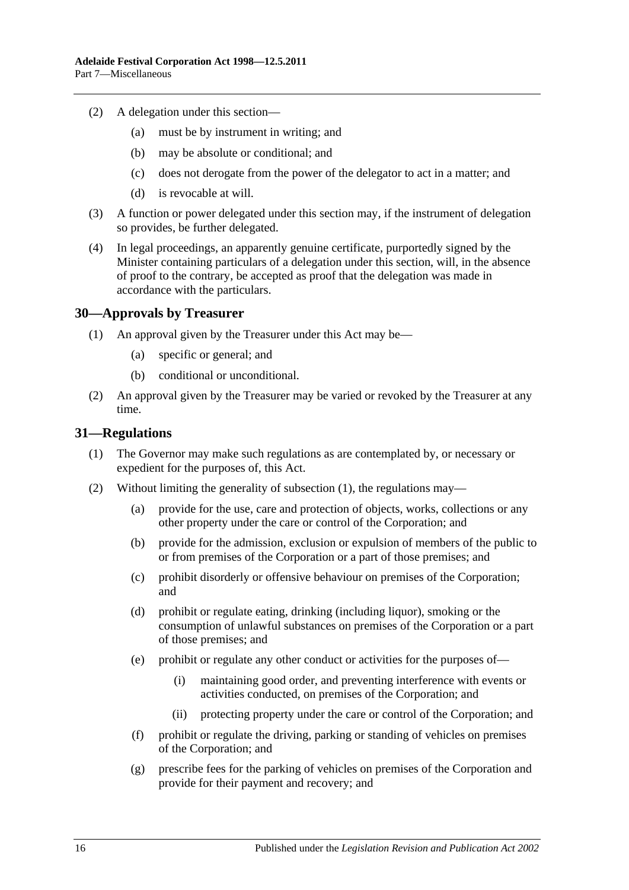- (2) A delegation under this section—
	- (a) must be by instrument in writing; and
	- (b) may be absolute or conditional; and
	- (c) does not derogate from the power of the delegator to act in a matter; and
	- (d) is revocable at will.
- (3) A function or power delegated under this section may, if the instrument of delegation so provides, be further delegated.
- (4) In legal proceedings, an apparently genuine certificate, purportedly signed by the Minister containing particulars of a delegation under this section, will, in the absence of proof to the contrary, be accepted as proof that the delegation was made in accordance with the particulars.

#### <span id="page-15-0"></span>**30—Approvals by Treasurer**

- (1) An approval given by the Treasurer under this Act may be—
	- (a) specific or general; and
	- (b) conditional or unconditional.
- (2) An approval given by the Treasurer may be varied or revoked by the Treasurer at any time.

#### <span id="page-15-2"></span><span id="page-15-1"></span>**31—Regulations**

- (1) The Governor may make such regulations as are contemplated by, or necessary or expedient for the purposes of, this Act.
- (2) Without limiting the generality of [subsection](#page-15-2) (1), the regulations may—
	- (a) provide for the use, care and protection of objects, works, collections or any other property under the care or control of the Corporation; and
	- (b) provide for the admission, exclusion or expulsion of members of the public to or from premises of the Corporation or a part of those premises; and
	- (c) prohibit disorderly or offensive behaviour on premises of the Corporation; and
	- (d) prohibit or regulate eating, drinking (including liquor), smoking or the consumption of unlawful substances on premises of the Corporation or a part of those premises; and
	- (e) prohibit or regulate any other conduct or activities for the purposes of—
		- (i) maintaining good order, and preventing interference with events or activities conducted, on premises of the Corporation; and
		- (ii) protecting property under the care or control of the Corporation; and
	- (f) prohibit or regulate the driving, parking or standing of vehicles on premises of the Corporation; and
	- (g) prescribe fees for the parking of vehicles on premises of the Corporation and provide for their payment and recovery; and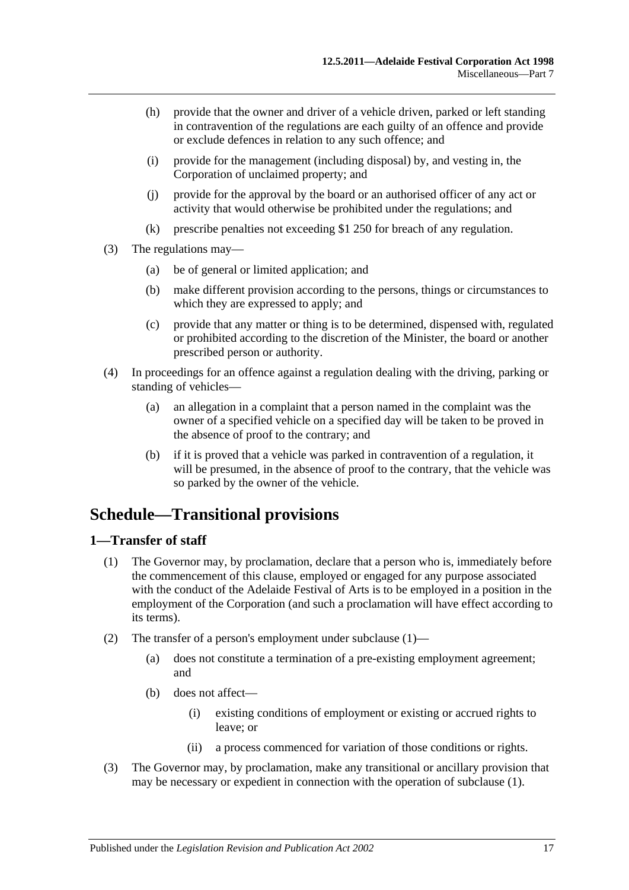- (h) provide that the owner and driver of a vehicle driven, parked or left standing in contravention of the regulations are each guilty of an offence and provide or exclude defences in relation to any such offence; and
- (i) provide for the management (including disposal) by, and vesting in, the Corporation of unclaimed property; and
- (j) provide for the approval by the board or an authorised officer of any act or activity that would otherwise be prohibited under the regulations; and
- (k) prescribe penalties not exceeding \$1 250 for breach of any regulation.
- (3) The regulations may—
	- (a) be of general or limited application; and
	- (b) make different provision according to the persons, things or circumstances to which they are expressed to apply; and
	- (c) provide that any matter or thing is to be determined, dispensed with, regulated or prohibited according to the discretion of the Minister, the board or another prescribed person or authority.
- (4) In proceedings for an offence against a regulation dealing with the driving, parking or standing of vehicles—
	- (a) an allegation in a complaint that a person named in the complaint was the owner of a specified vehicle on a specified day will be taken to be proved in the absence of proof to the contrary; and
	- (b) if it is proved that a vehicle was parked in contravention of a regulation, it will be presumed, in the absence of proof to the contrary, that the vehicle was so parked by the owner of the vehicle.

# <span id="page-16-0"></span>**Schedule—Transitional provisions**

# <span id="page-16-2"></span><span id="page-16-1"></span>**1—Transfer of staff**

- (1) The Governor may, by proclamation, declare that a person who is, immediately before the commencement of this clause, employed or engaged for any purpose associated with the conduct of the Adelaide Festival of Arts is to be employed in a position in the employment of the Corporation (and such a proclamation will have effect according to its terms).
- (2) The transfer of a person's employment under [subclause](#page-16-2) (1)—
	- (a) does not constitute a termination of a pre-existing employment agreement; and
	- (b) does not affect—
		- (i) existing conditions of employment or existing or accrued rights to leave; or
		- (ii) a process commenced for variation of those conditions or rights.
- (3) The Governor may, by proclamation, make any transitional or ancillary provision that may be necessary or expedient in connection with the operation of [subclause](#page-16-2) (1).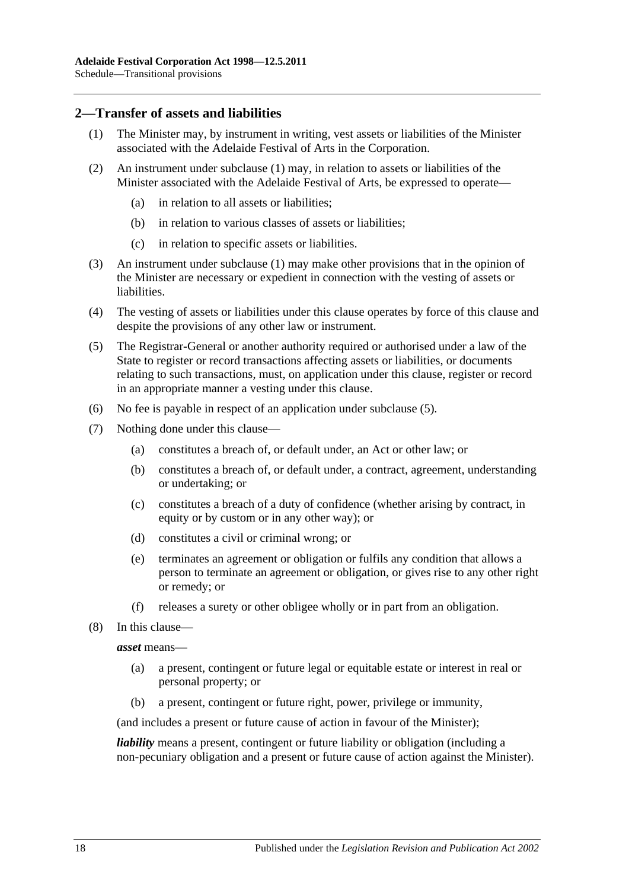# <span id="page-17-1"></span><span id="page-17-0"></span>**2—Transfer of assets and liabilities**

- (1) The Minister may, by instrument in writing, vest assets or liabilities of the Minister associated with the Adelaide Festival of Arts in the Corporation.
- (2) An instrument under [subclause](#page-17-1) (1) may, in relation to assets or liabilities of the Minister associated with the Adelaide Festival of Arts, be expressed to operate—
	- (a) in relation to all assets or liabilities;
	- (b) in relation to various classes of assets or liabilities;
	- (c) in relation to specific assets or liabilities.
- (3) An instrument under [subclause](#page-17-1) (1) may make other provisions that in the opinion of the Minister are necessary or expedient in connection with the vesting of assets or liabilities.
- (4) The vesting of assets or liabilities under this clause operates by force of this clause and despite the provisions of any other law or instrument.
- <span id="page-17-2"></span>(5) The Registrar-General or another authority required or authorised under a law of the State to register or record transactions affecting assets or liabilities, or documents relating to such transactions, must, on application under this clause, register or record in an appropriate manner a vesting under this clause.
- (6) No fee is payable in respect of an application under [subclause](#page-17-2) (5).
- (7) Nothing done under this clause—
	- (a) constitutes a breach of, or default under, an Act or other law; or
	- (b) constitutes a breach of, or default under, a contract, agreement, understanding or undertaking; or
	- (c) constitutes a breach of a duty of confidence (whether arising by contract, in equity or by custom or in any other way); or
	- (d) constitutes a civil or criminal wrong; or
	- (e) terminates an agreement or obligation or fulfils any condition that allows a person to terminate an agreement or obligation, or gives rise to any other right or remedy; or
	- (f) releases a surety or other obligee wholly or in part from an obligation.
- (8) In this clause—

#### *asset* means—

- (a) a present, contingent or future legal or equitable estate or interest in real or personal property; or
- (b) a present, contingent or future right, power, privilege or immunity,

(and includes a present or future cause of action in favour of the Minister);

*liability* means a present, contingent or future liability or obligation (including a non-pecuniary obligation and a present or future cause of action against the Minister).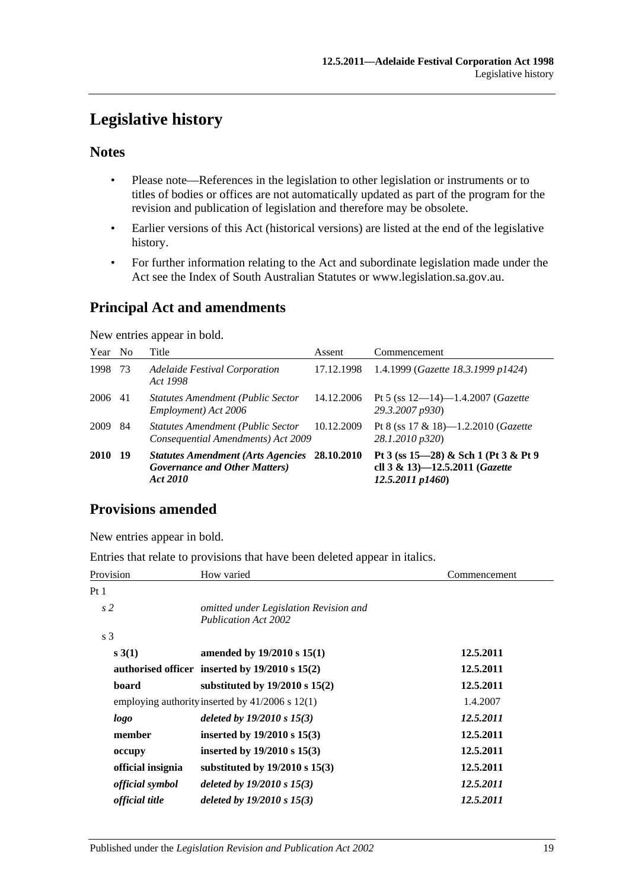# <span id="page-18-0"></span>**Legislative history**

# **Notes**

- Please note—References in the legislation to other legislation or instruments or to titles of bodies or offices are not automatically updated as part of the program for the revision and publication of legislation and therefore may be obsolete.
- Earlier versions of this Act (historical versions) are listed at the end of the legislative history.
- For further information relating to the Act and subordinate legislation made under the Act see the Index of South Australian Statutes or www.legislation.sa.gov.au.

# **Principal Act and amendments**

New entries appear in bold.

| Year No |     | Title                                                                                                     | Assent     | Commencement                                                                                  |
|---------|-----|-----------------------------------------------------------------------------------------------------------|------------|-----------------------------------------------------------------------------------------------|
| 1998    | 73  | Adelaide Festival Corporation<br>Act 1998                                                                 | 17.12.1998 | 1.4.1999 (Gazette 18.3.1999 p1424)                                                            |
| 2006 41 |     | <b>Statutes Amendment (Public Sector)</b><br>Employment) Act 2006                                         | 14.12.2006 | Pt 5 (ss $12-14$ )-1.4.2007 ( <i>Gazette</i><br>29.3.2007 p930)                               |
| 2009    | 84  | Statutes Amendment (Public Sector 10.12.2009<br>Consequential Amendments) Act 2009                        |            | Pt 8 (ss $17 \& 18$ )—1.2.2010 ( <i>Gazette</i><br>28.1.2010 p320)                            |
| 2010    | -19 | <b>Statutes Amendment (Arts Agencies 28.10.2010)</b><br><b>Governance and Other Matters</b> )<br>Act 2010 |            | Pt 3 (ss $15-28$ ) & Sch 1 (Pt 3 & Pt 9<br>cll 3 & 13)-12.5.2011 (Gazette<br>12.5.2011 p1460) |

# **Provisions amended**

New entries appear in bold.

Entries that relate to provisions that have been deleted appear in italics.

| Provision              | How varied                                                            | Commencement |  |
|------------------------|-----------------------------------------------------------------------|--------------|--|
| Pt 1                   |                                                                       |              |  |
| s <sub>2</sub>         | omitted under Legislation Revision and<br><b>Publication Act 2002</b> |              |  |
| s <sub>3</sub>         |                                                                       |              |  |
| s(3(1))                | amended by $19/2010$ s $15(1)$                                        | 12.5.2011    |  |
|                        | authorised officer inserted by $19/2010$ s $15(2)$                    | 12.5.2011    |  |
| board                  | substituted by $19/2010$ s $15(2)$                                    | 12.5.2011    |  |
|                        | employing authority inserted by $41/2006$ s $12(1)$                   | 1.4.2007     |  |
| logo                   | deleted by $19/2010 s 15(3)$                                          | 12.5.2011    |  |
| member                 | inserted by $19/2010$ s $15(3)$                                       | 12.5.2011    |  |
| occupy                 | inserted by $19/2010 s 15(3)$                                         | 12.5.2011    |  |
| official insignia      | substituted by $19/2010$ s $15(3)$                                    | 12.5.2011    |  |
| <i>official symbol</i> | deleted by $19/2010 s 15(3)$                                          | 12.5.2011    |  |
| <i>official title</i>  | deleted by $19/2010 s 15(3)$                                          | 12.5.2011    |  |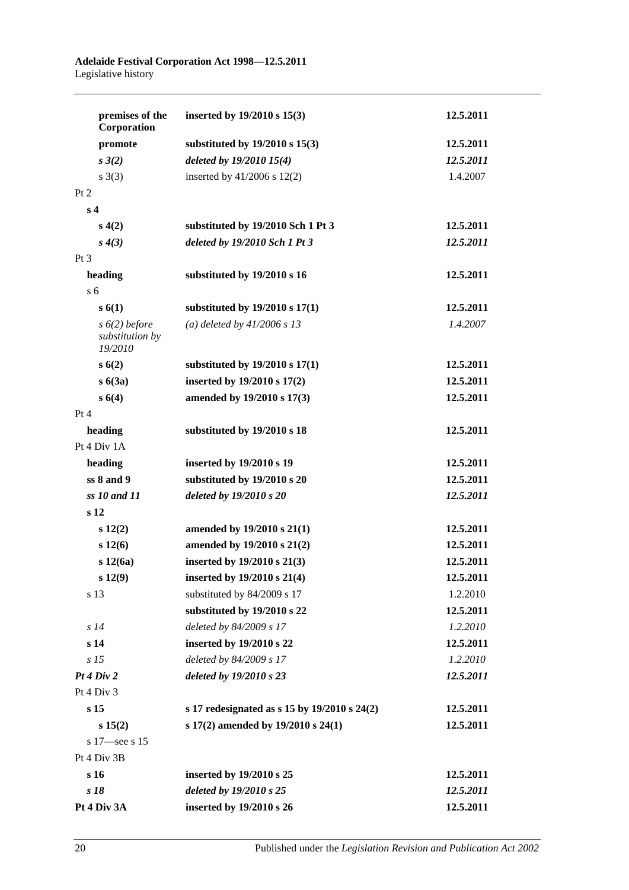#### **Adelaide Festival Corporation Act 1998—12.5.2011** Legislative history

| premises of the<br>Corporation                | inserted by $19/2010 s 15(3)$                | 12.5.2011 |
|-----------------------------------------------|----------------------------------------------|-----------|
| promote                                       | substituted by $19/2010$ s $15(3)$           | 12.5.2011 |
| $s \; 3(2)$                                   | deleted by 19/2010 15(4)                     | 12.5.2011 |
| $s \; 3(3)$                                   | inserted by $41/2006$ s $12(2)$              | 1.4.2007  |
| Pt 2                                          |                                              |           |
| s <sub>4</sub>                                |                                              |           |
| s(4(2)                                        | substituted by 19/2010 Sch 1 Pt 3            | 12.5.2011 |
| s(4(3))                                       | deleted by 19/2010 Sch 1 Pt 3                | 12.5.2011 |
| $Pt\,3$                                       |                                              |           |
| heading                                       | substituted by 19/2010 s 16                  | 12.5.2011 |
| s <sub>6</sub>                                |                                              |           |
| s(6(1))                                       | substituted by $19/2010$ s $17(1)$           | 12.5.2011 |
| $s(6(2)$ before<br>substitution by<br>19/2010 | (a) deleted by $41/2006 s 13$                | 1.4.2007  |
| s(6(2)                                        | substituted by 19/2010 s 17(1)               | 12.5.2011 |
| s(3a)                                         | inserted by 19/2010 s 17(2)                  | 12.5.2011 |
| s(4)                                          | amended by 19/2010 s 17(3)                   | 12.5.2011 |
| Pt 4                                          |                                              |           |
| heading                                       | substituted by 19/2010 s 18                  | 12.5.2011 |
| Pt 4 Div 1A                                   |                                              |           |
| heading                                       | inserted by 19/2010 s 19                     | 12.5.2011 |
| $ss8$ and $9$                                 | substituted by 19/2010 s 20                  | 12.5.2011 |
| ss 10 and 11                                  | deleted by 19/2010 s 20                      | 12.5.2011 |
| s <sub>12</sub>                               |                                              |           |
| $s\ 12(2)$                                    | amended by 19/2010 s 21(1)                   | 12.5.2011 |
| s 12(6)                                       | amended by 19/2010 s 21(2)                   | 12.5.2011 |
| s 12(6a)                                      | inserted by 19/2010 s 21(3)                  | 12.5.2011 |
| $s\ 12(9)$                                    | inserted by 19/2010 s 21(4)                  | 12.5.2011 |
| s 13                                          | substituted by 84/2009 s 17                  | 1.2.2010  |
|                                               | substituted by 19/2010 s 22                  | 12.5.2011 |
| s14                                           | deleted by 84/2009 s 17                      | 1.2.2010  |
| s <sub>14</sub>                               | inserted by 19/2010 s 22                     | 12.5.2011 |
| s <sub>15</sub>                               | deleted by 84/2009 s 17                      | 1.2.2010  |
| Pt 4 Div 2                                    | deleted by 19/2010 s 23                      | 12.5.2011 |
| Pt 4 Div 3                                    |                                              |           |
| s <sub>15</sub>                               | s 17 redesignated as s 15 by 19/2010 s 24(2) | 12.5.2011 |
| s 15(2)                                       | s 17(2) amended by 19/2010 s 24(1)           | 12.5.2011 |
| s 17 see s 15                                 |                                              |           |
| Pt 4 Div 3B                                   |                                              |           |
| s 16                                          | inserted by 19/2010 s 25                     | 12.5.2011 |
| s 18                                          | deleted by 19/2010 s 25                      | 12.5.2011 |
| Pt 4 Div 3A                                   | inserted by 19/2010 s 26                     | 12.5.2011 |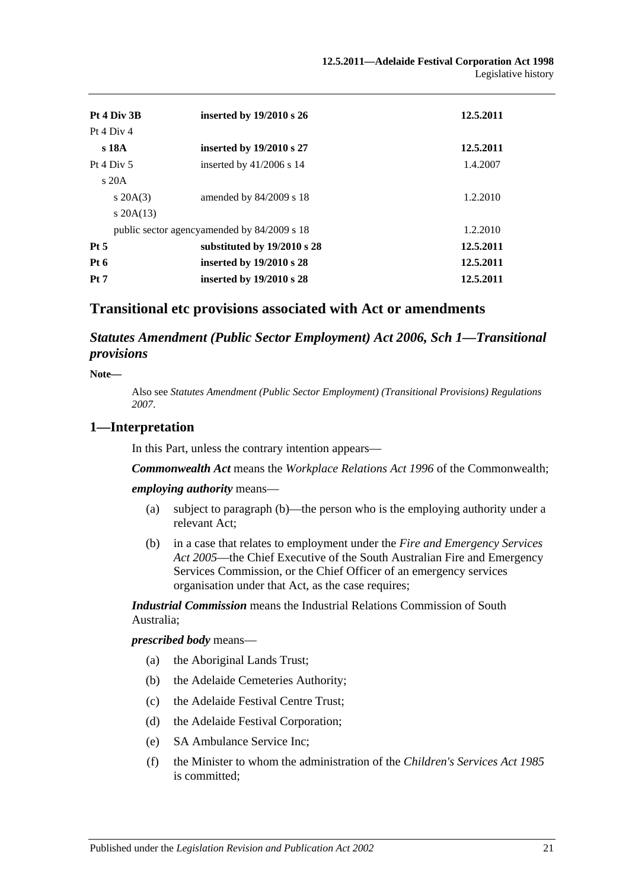| Pt 4 Div 3B  |                | inserted by 19/2010 s 26                    | 12.5.2011 |
|--------------|----------------|---------------------------------------------|-----------|
| Pt 4 Div 4   |                |                                             |           |
| s 18A        |                | inserted by 19/2010 s 27                    | 12.5.2011 |
| Pt 4 Div $5$ |                | inserted by $41/2006$ s 14                  | 1.4.2007  |
|              | $\rm s$ 20A    |                                             |           |
|              | $s \, 20A(3)$  | amended by $84/2009$ s 18                   | 1.2.2010  |
|              | $s$ 20A $(13)$ |                                             |           |
|              |                | public sector agencyamended by 84/2009 s 18 | 1.2.2010  |
| $Pt\,5$      |                | substituted by 19/2010 s 28                 | 12.5.2011 |
| Pt 6         |                | inserted by $19/2010$ s 28                  | 12.5.2011 |
| Pt 7         |                | inserted by 19/2010 s 28                    | 12.5.2011 |

# **Transitional etc provisions associated with Act or amendments**

*Statutes Amendment (Public Sector Employment) Act 2006, Sch 1—Transitional provisions*

**Note—**

Also see *[Statutes Amendment \(Public Sector Employment\) \(Transitional Provisions\) Regulations](http://www.legislation.sa.gov.au/index.aspx?action=legref&type=act&legtitle=Statutes%20Amendment%20(Public%20Sector%20Employment)%20(Transitional%20Provisions)%20Regulations%202007)  [2007](http://www.legislation.sa.gov.au/index.aspx?action=legref&type=act&legtitle=Statutes%20Amendment%20(Public%20Sector%20Employment)%20(Transitional%20Provisions)%20Regulations%202007)*.

#### **1—Interpretation**

In this Part, unless the contrary intention appears—

*Commonwealth Act* means the *Workplace Relations Act 1996* of the Commonwealth;

*employing authority* means—

- (a) subject to [paragraph](#page-20-0) (b)—the person who is the employing authority under a relevant Act;
- <span id="page-20-0"></span>(b) in a case that relates to employment under the *[Fire and Emergency Services](http://www.legislation.sa.gov.au/index.aspx?action=legref&type=act&legtitle=Fire%20and%20Emergency%20Services%20Act%202005)  Act [2005](http://www.legislation.sa.gov.au/index.aspx?action=legref&type=act&legtitle=Fire%20and%20Emergency%20Services%20Act%202005)*—the Chief Executive of the South Australian Fire and Emergency Services Commission, or the Chief Officer of an emergency services organisation under that Act, as the case requires;

*Industrial Commission* means the Industrial Relations Commission of South Australia;

*prescribed body* means—

- (a) the Aboriginal Lands Trust;
- (b) the Adelaide Cemeteries Authority;
- (c) the Adelaide Festival Centre Trust;
- (d) the Adelaide Festival Corporation;
- (e) SA Ambulance Service Inc;
- (f) the Minister to whom the administration of the *[Children's Services Act](http://www.legislation.sa.gov.au/index.aspx?action=legref&type=act&legtitle=Childrens%20Services%20Act%201985) 1985* is committed;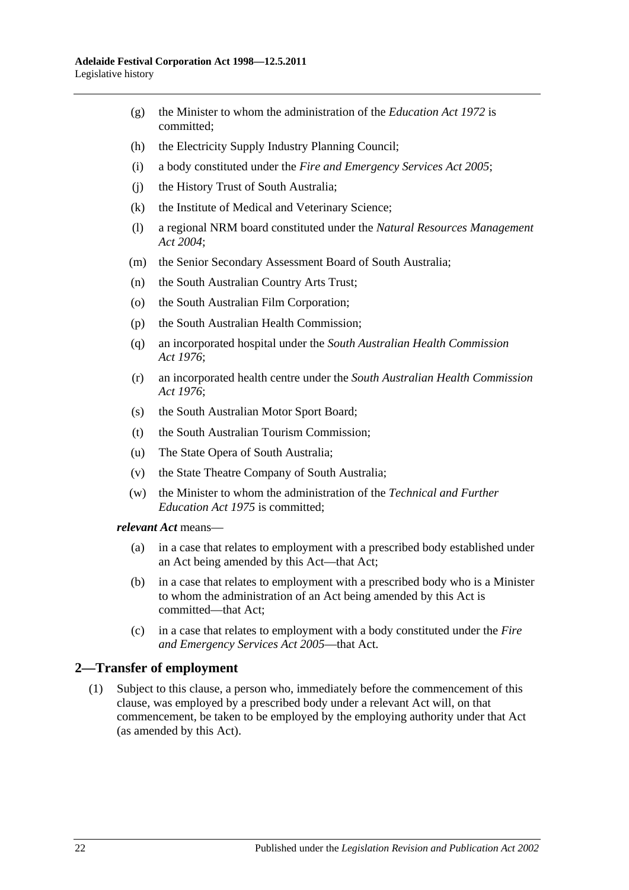- (g) the Minister to whom the administration of the *[Education Act](http://www.legislation.sa.gov.au/index.aspx?action=legref&type=act&legtitle=Education%20Act%201972) 1972* is committed;
- (h) the Electricity Supply Industry Planning Council;
- (i) a body constituted under the *[Fire and Emergency Services Act](http://www.legislation.sa.gov.au/index.aspx?action=legref&type=act&legtitle=Fire%20and%20Emergency%20Services%20Act%202005) 2005*;
- (j) the History Trust of South Australia;
- (k) the Institute of Medical and Veterinary Science;
- (l) a regional NRM board constituted under the *[Natural Resources Management](http://www.legislation.sa.gov.au/index.aspx?action=legref&type=act&legtitle=Natural%20Resources%20Management%20Act%202004)  Act [2004](http://www.legislation.sa.gov.au/index.aspx?action=legref&type=act&legtitle=Natural%20Resources%20Management%20Act%202004)*;
- (m) the Senior Secondary Assessment Board of South Australia;
- (n) the South Australian Country Arts Trust;
- (o) the South Australian Film Corporation;
- (p) the South Australian Health Commission;
- (q) an incorporated hospital under the *[South Australian Health Commission](http://www.legislation.sa.gov.au/index.aspx?action=legref&type=act&legtitle=South%20Australian%20Health%20Commission%20Act%201976)  Act [1976](http://www.legislation.sa.gov.au/index.aspx?action=legref&type=act&legtitle=South%20Australian%20Health%20Commission%20Act%201976)*;
- (r) an incorporated health centre under the *[South Australian Health Commission](http://www.legislation.sa.gov.au/index.aspx?action=legref&type=act&legtitle=South%20Australian%20Health%20Commission%20Act%201976)  Act [1976](http://www.legislation.sa.gov.au/index.aspx?action=legref&type=act&legtitle=South%20Australian%20Health%20Commission%20Act%201976)*;
- (s) the South Australian Motor Sport Board;
- (t) the South Australian Tourism Commission;
- (u) The State Opera of South Australia;
- (v) the State Theatre Company of South Australia;
- (w) the Minister to whom the administration of the *[Technical and Further](http://www.legislation.sa.gov.au/index.aspx?action=legref&type=act&legtitle=Technical%20and%20Further%20Education%20Act%201975)  [Education Act](http://www.legislation.sa.gov.au/index.aspx?action=legref&type=act&legtitle=Technical%20and%20Further%20Education%20Act%201975) 1975* is committed;

*relevant Act* means—

- (a) in a case that relates to employment with a prescribed body established under an Act being amended by this Act—that Act;
- (b) in a case that relates to employment with a prescribed body who is a Minister to whom the administration of an Act being amended by this Act is committed—that Act;
- (c) in a case that relates to employment with a body constituted under the *[Fire](http://www.legislation.sa.gov.au/index.aspx?action=legref&type=act&legtitle=Fire%20and%20Emergency%20Services%20Act%202005)  [and Emergency Services Act](http://www.legislation.sa.gov.au/index.aspx?action=legref&type=act&legtitle=Fire%20and%20Emergency%20Services%20Act%202005) 2005*—that Act.

# <span id="page-21-0"></span>**2—Transfer of employment**

(1) Subject to this clause, a person who, immediately before the commencement of this clause, was employed by a prescribed body under a relevant Act will, on that commencement, be taken to be employed by the employing authority under that Act (as amended by this Act).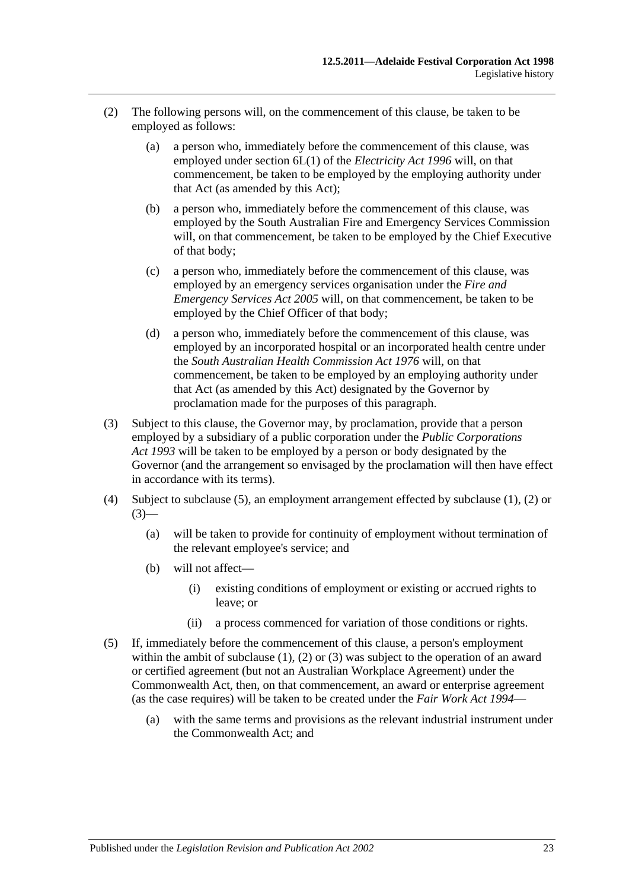- <span id="page-22-1"></span>(2) The following persons will, on the commencement of this clause, be taken to be employed as follows:
	- (a) a person who, immediately before the commencement of this clause, was employed under section 6L(1) of the *[Electricity Act](http://www.legislation.sa.gov.au/index.aspx?action=legref&type=act&legtitle=Electricity%20Act%201996) 1996* will, on that commencement, be taken to be employed by the employing authority under that Act (as amended by this Act);
	- (b) a person who, immediately before the commencement of this clause, was employed by the South Australian Fire and Emergency Services Commission will, on that commencement, be taken to be employed by the Chief Executive of that body;
	- (c) a person who, immediately before the commencement of this clause, was employed by an emergency services organisation under the *[Fire and](http://www.legislation.sa.gov.au/index.aspx?action=legref&type=act&legtitle=Fire%20and%20Emergency%20Services%20Act%202005)  [Emergency Services Act](http://www.legislation.sa.gov.au/index.aspx?action=legref&type=act&legtitle=Fire%20and%20Emergency%20Services%20Act%202005) 2005* will, on that commencement, be taken to be employed by the Chief Officer of that body;
	- (d) a person who, immediately before the commencement of this clause, was employed by an incorporated hospital or an incorporated health centre under the *[South Australian Health Commission Act](http://www.legislation.sa.gov.au/index.aspx?action=legref&type=act&legtitle=South%20Australian%20Health%20Commission%20Act%201976) 1976* will, on that commencement, be taken to be employed by an employing authority under that Act (as amended by this Act) designated by the Governor by proclamation made for the purposes of this paragraph.
- <span id="page-22-2"></span>(3) Subject to this clause, the Governor may, by proclamation, provide that a person employed by a subsidiary of a public corporation under the *[Public Corporations](http://www.legislation.sa.gov.au/index.aspx?action=legref&type=act&legtitle=Public%20Corporations%20Act%201993)  Act [1993](http://www.legislation.sa.gov.au/index.aspx?action=legref&type=act&legtitle=Public%20Corporations%20Act%201993)* will be taken to be employed by a person or body designated by the Governor (and the arrangement so envisaged by the proclamation will then have effect in accordance with its terms).
- (4) Subject to [subclause](#page-22-0) (5), an employment arrangement effected by [subclause](#page-21-0) (1), [\(2\)](#page-22-1) or  $(3)$ —
	- (a) will be taken to provide for continuity of employment without termination of the relevant employee's service; and
	- (b) will not affect—
		- (i) existing conditions of employment or existing or accrued rights to leave; or
		- (ii) a process commenced for variation of those conditions or rights.
- <span id="page-22-0"></span>(5) If, immediately before the commencement of this clause, a person's employment within the ambit of [subclause](#page-21-0) (1), [\(2\)](#page-22-1) or [\(3\)](#page-22-2) was subject to the operation of an award or certified agreement (but not an Australian Workplace Agreement) under the Commonwealth Act, then, on that commencement, an award or enterprise agreement (as the case requires) will be taken to be created under the *[Fair Work Act](http://www.legislation.sa.gov.au/index.aspx?action=legref&type=act&legtitle=Fair%20Work%20Act%201994) 1994*—
	- (a) with the same terms and provisions as the relevant industrial instrument under the Commonwealth Act; and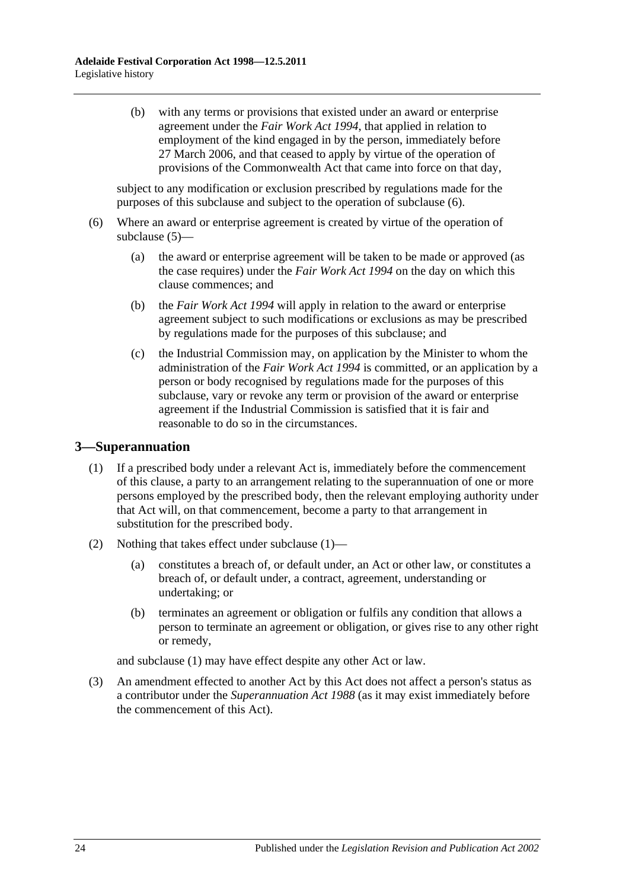(b) with any terms or provisions that existed under an award or enterprise agreement under the *[Fair Work Act](http://www.legislation.sa.gov.au/index.aspx?action=legref&type=act&legtitle=Fair%20Work%20Act%201994) 1994*, that applied in relation to employment of the kind engaged in by the person, immediately before 27 March 2006, and that ceased to apply by virtue of the operation of provisions of the Commonwealth Act that came into force on that day,

subject to any modification or exclusion prescribed by regulations made for the purposes of this subclause and subject to the operation of [subclause](#page-23-0) (6).

- <span id="page-23-0"></span>(6) Where an award or enterprise agreement is created by virtue of the operation of [subclause](#page-22-0) (5)—
	- (a) the award or enterprise agreement will be taken to be made or approved (as the case requires) under the *[Fair Work Act](http://www.legislation.sa.gov.au/index.aspx?action=legref&type=act&legtitle=Fair%20Work%20Act%201994) 1994* on the day on which this clause commences; and
	- (b) the *[Fair Work Act](http://www.legislation.sa.gov.au/index.aspx?action=legref&type=act&legtitle=Fair%20Work%20Act%201994) 1994* will apply in relation to the award or enterprise agreement subject to such modifications or exclusions as may be prescribed by regulations made for the purposes of this subclause; and
	- (c) the Industrial Commission may, on application by the Minister to whom the administration of the *[Fair Work Act](http://www.legislation.sa.gov.au/index.aspx?action=legref&type=act&legtitle=Fair%20Work%20Act%201994) 1994* is committed, or an application by a person or body recognised by regulations made for the purposes of this subclause, vary or revoke any term or provision of the award or enterprise agreement if the Industrial Commission is satisfied that it is fair and reasonable to do so in the circumstances.

# <span id="page-23-1"></span>**3—Superannuation**

- (1) If a prescribed body under a relevant Act is, immediately before the commencement of this clause, a party to an arrangement relating to the superannuation of one or more persons employed by the prescribed body, then the relevant employing authority under that Act will, on that commencement, become a party to that arrangement in substitution for the prescribed body.
- (2) Nothing that takes effect under [subclause](#page-23-1) (1)—
	- (a) constitutes a breach of, or default under, an Act or other law, or constitutes a breach of, or default under, a contract, agreement, understanding or undertaking; or
	- (b) terminates an agreement or obligation or fulfils any condition that allows a person to terminate an agreement or obligation, or gives rise to any other right or remedy,

and [subclause](#page-23-1) (1) may have effect despite any other Act or law.

(3) An amendment effected to another Act by this Act does not affect a person's status as a contributor under the *[Superannuation Act](http://www.legislation.sa.gov.au/index.aspx?action=legref&type=act&legtitle=Superannuation%20Act%201988) 1988* (as it may exist immediately before the commencement of this Act).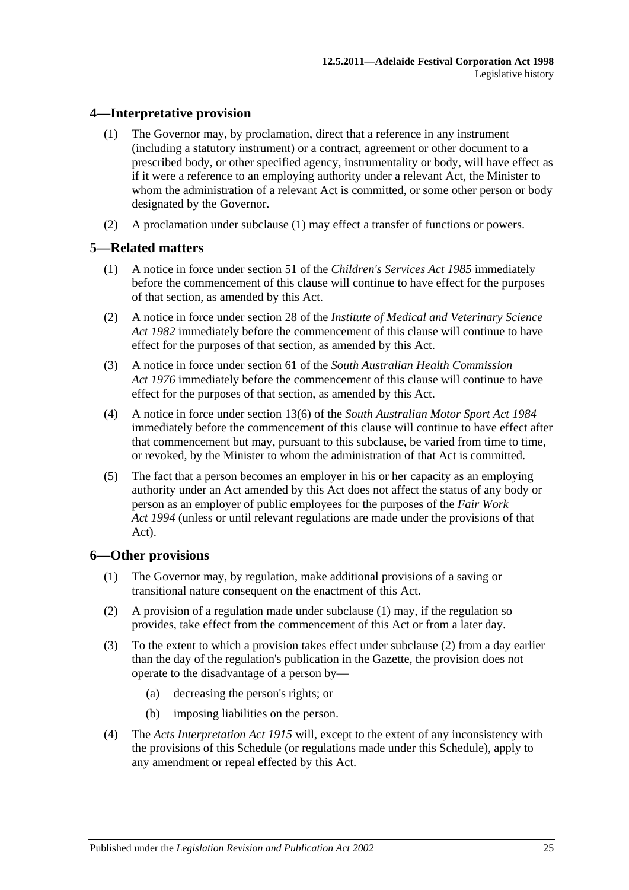# <span id="page-24-0"></span>**4—Interpretative provision**

- (1) The Governor may, by proclamation, direct that a reference in any instrument (including a statutory instrument) or a contract, agreement or other document to a prescribed body, or other specified agency, instrumentality or body, will have effect as if it were a reference to an employing authority under a relevant Act, the Minister to whom the administration of a relevant Act is committed, or some other person or body designated by the Governor.
- (2) A proclamation under [subclause](#page-24-0) (1) may effect a transfer of functions or powers.

# **5—Related matters**

- (1) A notice in force under section 51 of the *[Children's Services Act](http://www.legislation.sa.gov.au/index.aspx?action=legref&type=act&legtitle=Childrens%20Services%20Act%201985) 1985* immediately before the commencement of this clause will continue to have effect for the purposes of that section, as amended by this Act.
- (2) A notice in force under section 28 of the *[Institute of Medical and Veterinary Science](http://www.legislation.sa.gov.au/index.aspx?action=legref&type=act&legtitle=Institute%20of%20Medical%20and%20Veterinary%20Science%20Act%201982)  Act [1982](http://www.legislation.sa.gov.au/index.aspx?action=legref&type=act&legtitle=Institute%20of%20Medical%20and%20Veterinary%20Science%20Act%201982)* immediately before the commencement of this clause will continue to have effect for the purposes of that section, as amended by this Act.
- (3) A notice in force under section 61 of the *[South Australian Health Commission](http://www.legislation.sa.gov.au/index.aspx?action=legref&type=act&legtitle=South%20Australian%20Health%20Commission%20Act%201976)  Act [1976](http://www.legislation.sa.gov.au/index.aspx?action=legref&type=act&legtitle=South%20Australian%20Health%20Commission%20Act%201976)* immediately before the commencement of this clause will continue to have effect for the purposes of that section, as amended by this Act.
- (4) A notice in force under section 13(6) of the *[South Australian Motor Sport Act](http://www.legislation.sa.gov.au/index.aspx?action=legref&type=act&legtitle=South%20Australian%20Motor%20Sport%20Act%201984) 1984* immediately before the commencement of this clause will continue to have effect after that commencement but may, pursuant to this subclause, be varied from time to time, or revoked, by the Minister to whom the administration of that Act is committed.
- (5) The fact that a person becomes an employer in his or her capacity as an employing authority under an Act amended by this Act does not affect the status of any body or person as an employer of public employees for the purposes of the *[Fair Work](http://www.legislation.sa.gov.au/index.aspx?action=legref&type=act&legtitle=Fair%20Work%20Act%201994)  Act [1994](http://www.legislation.sa.gov.au/index.aspx?action=legref&type=act&legtitle=Fair%20Work%20Act%201994)* (unless or until relevant regulations are made under the provisions of that Act).

# <span id="page-24-1"></span>**6—Other provisions**

- (1) The Governor may, by regulation, make additional provisions of a saving or transitional nature consequent on the enactment of this Act.
- <span id="page-24-2"></span>(2) A provision of a regulation made under [subclause](#page-24-1) (1) may, if the regulation so provides, take effect from the commencement of this Act or from a later day.
- (3) To the extent to which a provision takes effect under [subclause](#page-24-2) (2) from a day earlier than the day of the regulation's publication in the Gazette, the provision does not operate to the disadvantage of a person by—
	- (a) decreasing the person's rights; or
	- (b) imposing liabilities on the person.
- (4) The *[Acts Interpretation Act](http://www.legislation.sa.gov.au/index.aspx?action=legref&type=act&legtitle=Acts%20Interpretation%20Act%201915) 1915* will, except to the extent of any inconsistency with the provisions of this Schedule (or regulations made under this Schedule), apply to any amendment or repeal effected by this Act.